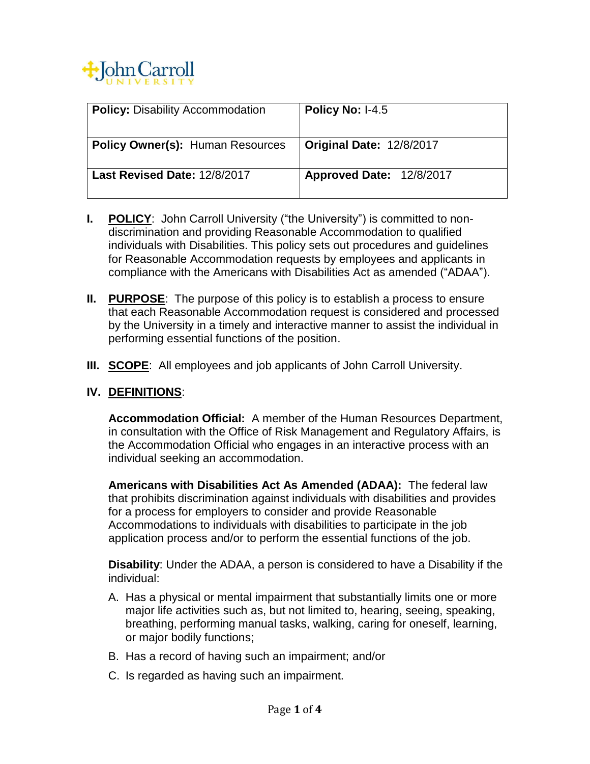

| <b>Policy: Disability Accommodation</b> | Policy No: I-4.5                |
|-----------------------------------------|---------------------------------|
| <b>Policy Owner(s): Human Resources</b> | <b>Original Date: 12/8/2017</b> |
| Last Revised Date: 12/8/2017            | Approved Date: 12/8/2017        |

- **I. POLICY**: John Carroll University ("the University") is committed to nondiscrimination and providing Reasonable Accommodation to qualified individuals with Disabilities. This policy sets out procedures and guidelines for Reasonable Accommodation requests by employees and applicants in compliance with the Americans with Disabilities Act as amended ("ADAA").
- **II. PURPOSE**: The purpose of this policy is to establish a process to ensure that each Reasonable Accommodation request is considered and processed by the University in a timely and interactive manner to assist the individual in performing essential functions of the position.
- **III. SCOPE**: All employees and job applicants of John Carroll University.

## **IV. DEFINITIONS**:

**Accommodation Official:** A member of the Human Resources Department, in consultation with the Office of Risk Management and Regulatory Affairs, is the Accommodation Official who engages in an interactive process with an individual seeking an accommodation.

**Americans with Disabilities Act As Amended (ADAA):** The federal law that prohibits discrimination against individuals with disabilities and provides for a process for employers to consider and provide Reasonable Accommodations to individuals with disabilities to participate in the job application process and/or to perform the essential functions of the job.

**Disability**: Under the ADAA, a person is considered to have a Disability if the individual:

- A. Has a physical or mental impairment that substantially limits one or more major life activities such as, but not limited to, hearing, seeing, speaking, breathing, performing manual tasks, walking, caring for oneself, learning, or major bodily functions;
- B. Has a record of having such an impairment; and/or
- C. Is regarded as having such an impairment.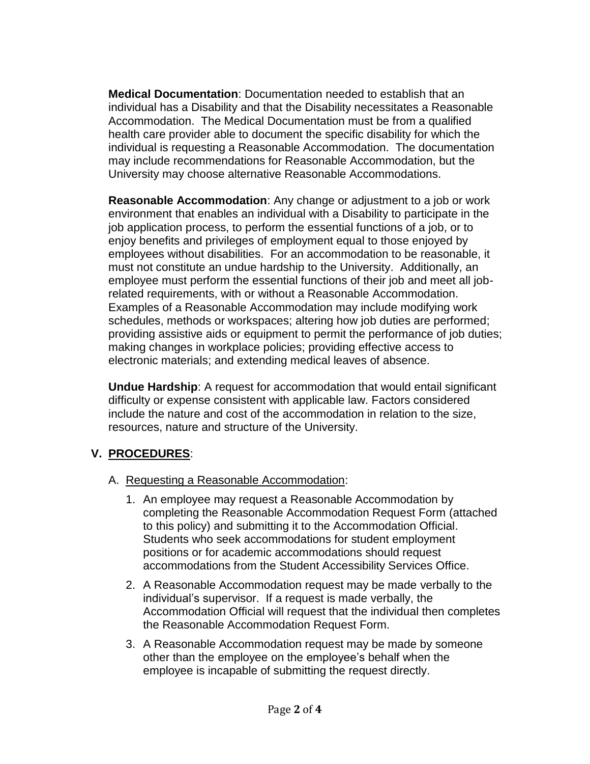**Medical Documentation**: Documentation needed to establish that an individual has a Disability and that the Disability necessitates a Reasonable Accommodation. The Medical Documentation must be from a qualified health care provider able to document the specific disability for which the individual is requesting a Reasonable Accommodation. The documentation may include recommendations for Reasonable Accommodation, but the University may choose alternative Reasonable Accommodations.

**Reasonable Accommodation**: Any change or adjustment to a job or work environment that enables an individual with a Disability to participate in the job application process, to perform the essential functions of a job, or to enjoy benefits and privileges of employment equal to those enjoyed by employees without disabilities. For an accommodation to be reasonable, it must not constitute an undue hardship to the University. Additionally, an employee must perform the essential functions of their job and meet all jobrelated requirements, with or without a Reasonable Accommodation. Examples of a Reasonable Accommodation may include modifying work schedules, methods or workspaces; altering how job duties are performed; providing assistive aids or equipment to permit the performance of job duties; making changes in workplace policies; providing effective access to electronic materials; and extending medical leaves of absence.

**Undue Hardship**: A request for accommodation that would entail significant difficulty or expense consistent with applicable law. Factors considered include the nature and cost of the accommodation in relation to the size, resources, nature and structure of the University.

## **V. PROCEDURES**:

- A. Requesting a Reasonable Accommodation:
	- 1. An employee may request a Reasonable Accommodation by completing the Reasonable Accommodation Request Form (attached to this policy) and submitting it to the Accommodation Official. Students who seek accommodations for student employment positions or for academic accommodations should request accommodations from the Student Accessibility Services Office.
	- 2. A Reasonable Accommodation request may be made verbally to the individual's supervisor. If a request is made verbally, the Accommodation Official will request that the individual then completes the Reasonable Accommodation Request Form.
	- 3. A Reasonable Accommodation request may be made by someone other than the employee on the employee's behalf when the employee is incapable of submitting the request directly.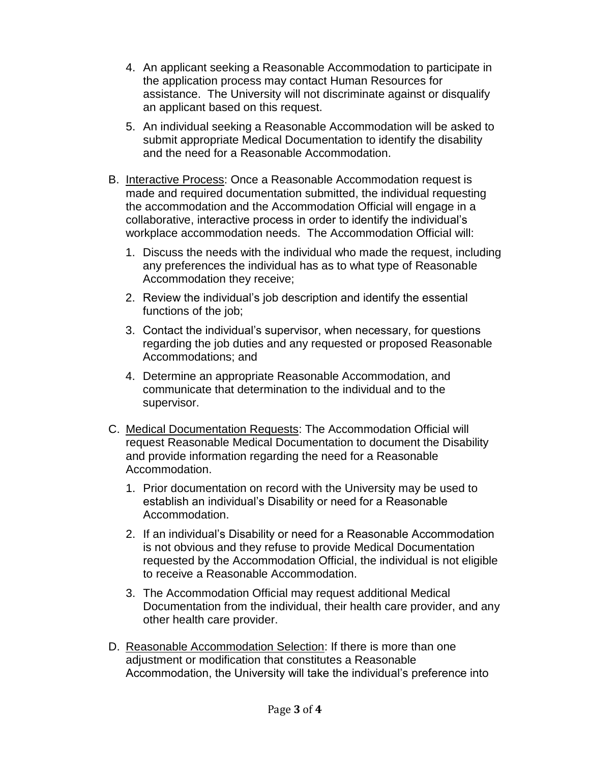- 4. An applicant seeking a Reasonable Accommodation to participate in the application process may contact Human Resources for assistance. The University will not discriminate against or disqualify an applicant based on this request.
- 5. An individual seeking a Reasonable Accommodation will be asked to submit appropriate Medical Documentation to identify the disability and the need for a Reasonable Accommodation.
- B. Interactive Process: Once a Reasonable Accommodation request is made and required documentation submitted, the individual requesting the accommodation and the Accommodation Official will engage in a collaborative, interactive process in order to identify the individual's workplace accommodation needs. The Accommodation Official will:
	- 1. Discuss the needs with the individual who made the request, including any preferences the individual has as to what type of Reasonable Accommodation they receive;
	- 2. Review the individual's job description and identify the essential functions of the job;
	- 3. Contact the individual's supervisor, when necessary, for questions regarding the job duties and any requested or proposed Reasonable Accommodations; and
	- 4. Determine an appropriate Reasonable Accommodation, and communicate that determination to the individual and to the supervisor.
- C. Medical Documentation Requests: The Accommodation Official will request Reasonable Medical Documentation to document the Disability and provide information regarding the need for a Reasonable Accommodation.
	- 1. Prior documentation on record with the University may be used to establish an individual's Disability or need for a Reasonable Accommodation.
	- 2. If an individual's Disability or need for a Reasonable Accommodation is not obvious and they refuse to provide Medical Documentation requested by the Accommodation Official, the individual is not eligible to receive a Reasonable Accommodation.
	- 3. The Accommodation Official may request additional Medical Documentation from the individual, their health care provider, and any other health care provider.
- D. Reasonable Accommodation Selection: If there is more than one adjustment or modification that constitutes a Reasonable Accommodation, the University will take the individual's preference into